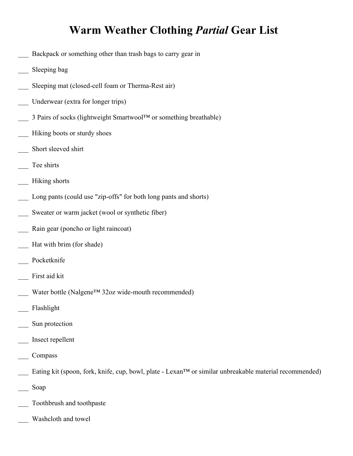## **Warm Weather Clothing** *Partial* **Gear List**

- Backpack or something other than trash bags to carry gear in
- Sleeping bag
- Sleeping mat (closed-cell foam or Therma-Rest air)
- Underwear (extra for longer trips)
- 3 Pairs of socks (lightweight Smartwool™ or something breathable)
- Hiking boots or sturdy shoes
- Short sleeved shirt
- Tee shirts
- \_\_\_ Hiking shorts
- Long pants (could use "zip-offs" for both long pants and shorts)
- Sweater or warm jacket (wool or synthetic fiber)
- Rain gear (poncho or light raincoat)
- Hat with brim (for shade)
- Pocketknife
- First aid kit
- Water bottle (Nalgene™ 32oz wide-mouth recommended)
- \_\_\_ Flashlight
- Sun protection
- \_\_\_ Insect repellent
- \_\_\_ Compass
- Eating kit (spoon, fork, knife, cup, bowl, plate Lexan™ or similar unbreakable material recommended)
- \_\_\_ Soap
- \_\_\_ Toothbrush and toothpaste
- Washcloth and towel